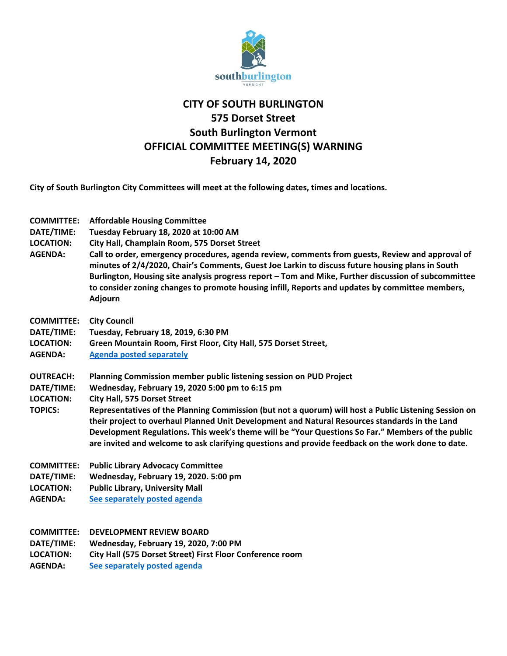

## **CITY OF SOUTH BURLINGTON 575 Dorset Street South Burlington Vermont OFFICIAL COMMITTEE MEETING(S) WARNING February 14, 2020**

**City of South Burlington City Committees will meet at the following dates, times and locations.** 

| <b>COMMITTEE:</b><br>DATE/TIME:<br><b>LOCATION:</b><br><b>AGENDA:</b> | <b>Affordable Housing Committee</b><br>Tuesday February 18, 2020 at 10:00 AM<br>City Hall, Champlain Room, 575 Dorset Street<br>Call to order, emergency procedures, agenda review, comments from guests, Review and approval of<br>minutes of 2/4/2020, Chair's Comments, Guest Joe Larkin to discuss future housing plans in South<br>Burlington, Housing site analysis progress report - Tom and Mike, Further discussion of subcommittee<br>to consider zoning changes to promote housing infill, Reports and updates by committee members,<br><b>Adjourn</b> |
|-----------------------------------------------------------------------|-------------------------------------------------------------------------------------------------------------------------------------------------------------------------------------------------------------------------------------------------------------------------------------------------------------------------------------------------------------------------------------------------------------------------------------------------------------------------------------------------------------------------------------------------------------------|
| <b>COMMITTEE:</b>                                                     | <b>City Council</b>                                                                                                                                                                                                                                                                                                                                                                                                                                                                                                                                               |
| DATE/TIME:                                                            | Tuesday, February 18, 2019, 6:30 PM                                                                                                                                                                                                                                                                                                                                                                                                                                                                                                                               |
| <b>LOCATION:</b>                                                      | Green Mountain Room, First Floor, City Hall, 575 Dorset Street,                                                                                                                                                                                                                                                                                                                                                                                                                                                                                                   |
| <b>AGENDA:</b>                                                        | <b>Agenda posted separately</b>                                                                                                                                                                                                                                                                                                                                                                                                                                                                                                                                   |
| <b>OUTREACH:</b>                                                      | Planning Commission member public listening session on PUD Project                                                                                                                                                                                                                                                                                                                                                                                                                                                                                                |
| DATE/TIME:                                                            | Wednesday, February 19, 2020 5:00 pm to 6:15 pm                                                                                                                                                                                                                                                                                                                                                                                                                                                                                                                   |
| <b>LOCATION:</b>                                                      | <b>City Hall, 575 Dorset Street</b>                                                                                                                                                                                                                                                                                                                                                                                                                                                                                                                               |
| <b>TOPICS:</b>                                                        | Representatives of the Planning Commission (but not a quorum) will host a Public Listening Session on<br>their project to overhaul Planned Unit Development and Natural Resources standards in the Land                                                                                                                                                                                                                                                                                                                                                           |
|                                                                       | Development Regulations. This week's theme will be "Your Questions So Far." Members of the public<br>are invited and welcome to ask clarifying questions and provide feedback on the work done to date.                                                                                                                                                                                                                                                                                                                                                           |
| <b>COMMITTEE:</b>                                                     | <b>Public Library Advocacy Committee</b>                                                                                                                                                                                                                                                                                                                                                                                                                                                                                                                          |
| DATE/TIME:                                                            | Wednesday, February 19, 2020. 5:00 pm                                                                                                                                                                                                                                                                                                                                                                                                                                                                                                                             |
| <b>LOCATION:</b>                                                      | <b>Public Library, University Mall</b>                                                                                                                                                                                                                                                                                                                                                                                                                                                                                                                            |
| <b>AGENDA:</b>                                                        | See separately posted agenda                                                                                                                                                                                                                                                                                                                                                                                                                                                                                                                                      |
| <b>COMMITTEE:</b>                                                     | <b>DEVELOPMENT REVIEW BOARD</b>                                                                                                                                                                                                                                                                                                                                                                                                                                                                                                                                   |
| DATE/TIME:                                                            | Wednesday, February 19, 2020, 7:00 PM                                                                                                                                                                                                                                                                                                                                                                                                                                                                                                                             |
| <b>LOCATION:</b>                                                      | City Hall (575 Dorset Street) First Floor Conference room                                                                                                                                                                                                                                                                                                                                                                                                                                                                                                         |
| <b>AGENDA:</b>                                                        | See separately posted agenda                                                                                                                                                                                                                                                                                                                                                                                                                                                                                                                                      |